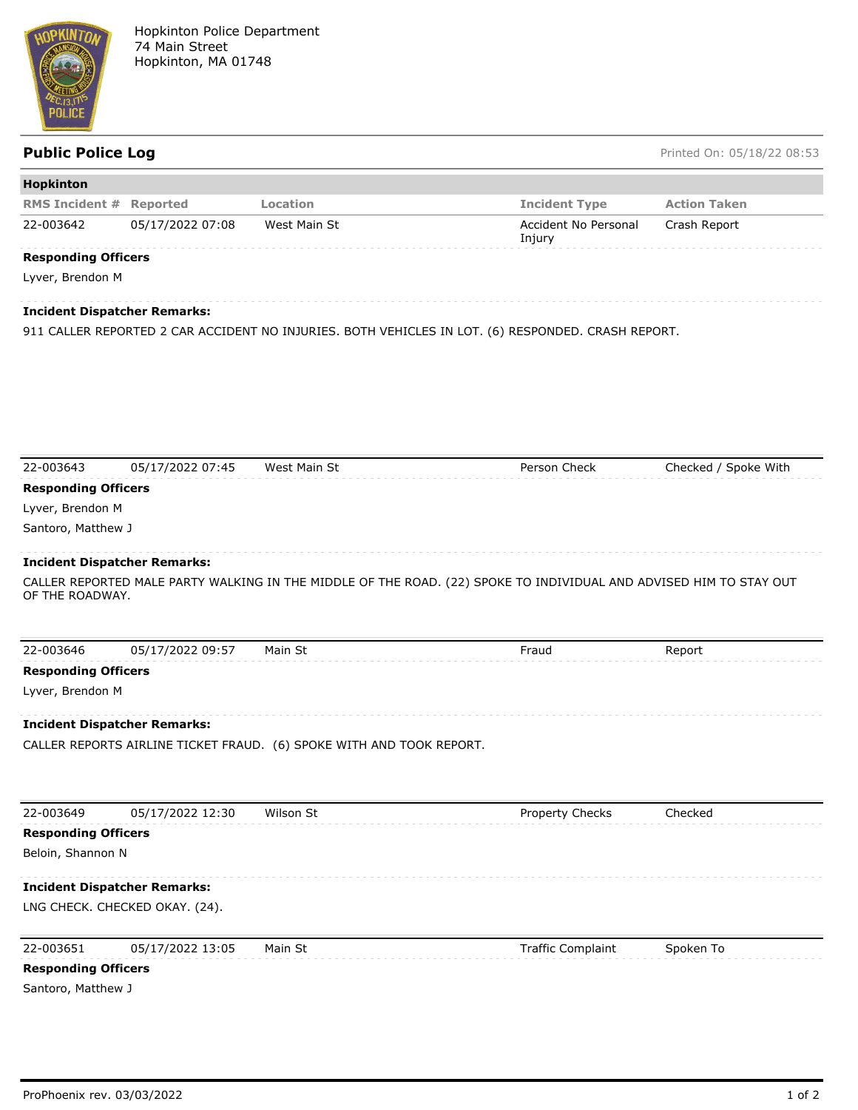

**Public Police Log** Printed On: 05/18/22 08:53

| <b>Hopkinton</b>               |                  |              |                                |                     |
|--------------------------------|------------------|--------------|--------------------------------|---------------------|
| <b>RMS Incident # Reported</b> |                  | Location     | <b>Incident Type</b>           | <b>Action Taken</b> |
| 22-003642                      | 05/17/2022 07:08 | West Main St | Accident No Personal<br>Injury | Crash Report        |
| <b>Responding Officers</b>     |                  |              |                                |                     |
| Lyver, Brendon M               |                  |              |                                |                     |

## **Incident Dispatcher Remarks:**

911 CALLER REPORTED 2 CAR ACCIDENT NO INJURIES. BOTH VEHICLES IN LOT. (6) RESPONDED. CRASH REPORT.

| 22-003643                  | 05/17/2022 07:45                    | West Main St                                                         | Person Check                                                                                                       | Checked / Spoke With |
|----------------------------|-------------------------------------|----------------------------------------------------------------------|--------------------------------------------------------------------------------------------------------------------|----------------------|
| <b>Responding Officers</b> |                                     |                                                                      |                                                                                                                    |                      |
| Lyver, Brendon M           |                                     |                                                                      |                                                                                                                    |                      |
| Santoro, Matthew J         |                                     |                                                                      |                                                                                                                    |                      |
|                            | <b>Incident Dispatcher Remarks:</b> |                                                                      |                                                                                                                    |                      |
| OF THE ROADWAY.            |                                     |                                                                      | CALLER REPORTED MALE PARTY WALKING IN THE MIDDLE OF THE ROAD. (22) SPOKE TO INDIVIDUAL AND ADVISED HIM TO STAY OUT |                      |
| 22-003646                  | 05/17/2022 09:57                    | Main St                                                              | Fraud                                                                                                              | Report               |
| <b>Responding Officers</b> |                                     |                                                                      |                                                                                                                    |                      |
| Lyver, Brendon M           |                                     |                                                                      |                                                                                                                    |                      |
|                            | <b>Incident Dispatcher Remarks:</b> |                                                                      |                                                                                                                    |                      |
|                            |                                     | CALLER REPORTS AIRLINE TICKET FRAUD. (6) SPOKE WITH AND TOOK REPORT. |                                                                                                                    |                      |
| 22-003649                  | 05/17/2022 12:30                    | Wilson St                                                            | Property Checks                                                                                                    | Checked              |
| <b>Responding Officers</b> |                                     |                                                                      |                                                                                                                    |                      |
| Beloin, Shannon N          |                                     |                                                                      |                                                                                                                    |                      |
|                            | <b>Incident Dispatcher Remarks:</b> |                                                                      |                                                                                                                    |                      |
|                            | LNG CHECK. CHECKED OKAY. (24).      |                                                                      |                                                                                                                    |                      |
| 22-003651                  | 05/17/2022 13:05                    | Main St                                                              | <b>Traffic Complaint</b>                                                                                           | Spoken To            |
|                            |                                     |                                                                      |                                                                                                                    |                      |
| <b>Responding Officers</b> |                                     |                                                                      |                                                                                                                    |                      |